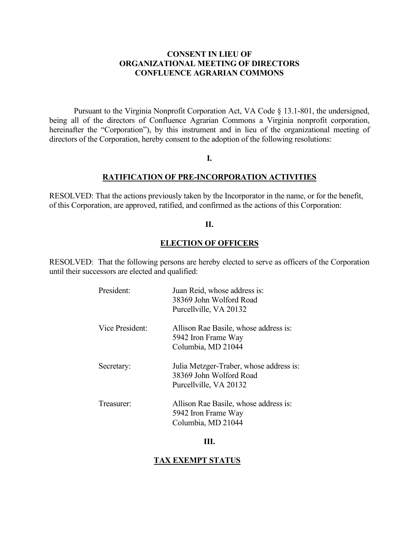#### **CONSENT IN LIEU OF ORGANIZATIONAL MEETING OF DIRECTORS CONFLUENCE AGRARIAN COMMONS**

 Pursuant to the Virginia Nonprofit Corporation Act, VA Code § 13.1-801, the undersigned, being all of the directors of Confluence Agrarian Commons a Virginia nonprofit corporation, hereinafter the "Corporation"), by this instrument and in lieu of the organizational meeting of directors of the Corporation, hereby consent to the adoption of the following resolutions:

#### **I.**

#### **RATIFICATION OF PRE-INCORPORATION ACTIVITIES**

RESOLVED: That the actions previously taken by the Incorporator in the name, or for the benefit, of this Corporation, are approved, ratified, and confirmed as the actions of this Corporation:

#### **II.**

#### **ELECTION OF OFFICERS**

 RESOLVED: That the following persons are hereby elected to serve as officers of the Corporation until their successors are elected and qualified:

| President:      | Juan Reid, whose address is:<br>38369 John Wolford Road<br>Purcellville, VA 20132            |
|-----------------|----------------------------------------------------------------------------------------------|
| Vice President: | Allison Rae Basile, whose address is:<br>5942 Iron Frame Way<br>Columbia, MD 21044           |
| Secretary:      | Julia Metzger-Traber, whose address is:<br>38369 John Wolford Road<br>Purcellville, VA 20132 |
| Treasurer:      | Allison Rae Basile, whose address is:<br>5942 Iron Frame Way<br>Columbia, MD 21044           |

#### **III.**

#### **TAX EXEMPT STATUS**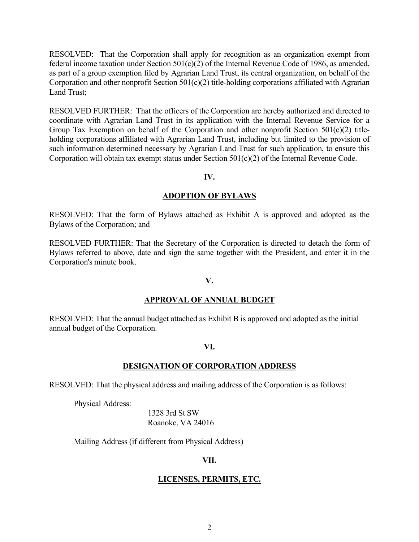RESOLVED: That the Corporation shall apply for recognition as an organization exempt from federal income taxation under Section 501(c)(2) of the Internal Revenue Code of 1986, as amended, as part of a group exemption filed by Agrarian Land Trust, its central organization, on behalf of the Corporation and other nonprofit Section 501(c)(2) title-holding corporations affiliated with Agrarian Land Trust;

RESOLVED FURTHER: That the officers of the Corporation are hereby authorized and directed to coordinate with Agrarian Land Trust in its application with the Internal Revenue Service for a Group Tax Exemption on behalf of the Corporation and other nonprofit Section 501(c)(2) titleholding corporations affiliated with Agrarian Land Trust, including but limited to the provision of such information determined necessary by Agrarian Land Trust for such application, to ensure this Corporation will obtain tax exempt status under Section 501(c)(2) of the Internal Revenue Code.

#### **IV.**

#### **ADOPTION OF BYLAWS**

RESOLVED: That the form of Bylaws attached as Exhibit A is approved and adopted as the Bylaws of the Corporation; and

RESOLVED FURTHER: That the Secretary of the Corporation is directed to detach the form of Bylaws referred to above, date and sign the same together with the President, and enter it in the Corporation's minute book.

#### **V.**

#### **APPROVAL OF ANNUAL BUDGET**

RESOLVED: That the annual budget attached as Exhibit B is approved and adopted as the initial annual budget of the Corporation.

#### **VI.**

#### **DESIGNATION OF CORPORATION ADDRESS**

RESOLVED: That the physical address and mailing address of the Corporation is as follows:

Physical Address:

1328 3rd St SW Roanoke, VA 24016

Mailing Address (if different from Physical Address)

#### **VII.**

#### **LICENSES, PERMITS, ETC.**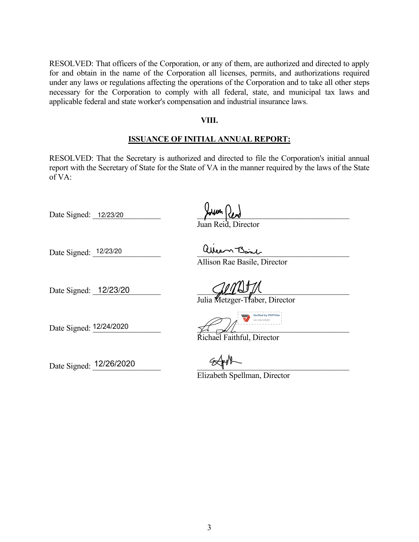RESOLVED: That officers of the Corporation, or any of them, are authorized and directed to apply for and obtain in the name of the Corporation all licenses, permits, and authorizations required under any laws or regulations affecting the operations of the Corporation and to take all other steps necessary for the Corporation to comply with all federal, state, and municipal tax laws and applicable federal and state worker's compensation and industrial insurance laws.

#### **VIII.**

#### **ISSUANCE OF INITIAL ANNUAL REPORT:**

RESOLVED: That the Secretary is authorized and directed to file the Corporation's initial annual report with the Secretary of State for the State of VA in the manner required by the laws of the State of VA:

Date Signed:  $\frac{12/23/20}{2}$ 

ian Reid, Director

Date Signed: \_\_\_\_\_\_\_\_\_\_\_\_\_\_\_\_\_ \_\_\_\_\_\_\_\_\_\_\_\_\_\_\_\_\_\_\_\_\_\_\_\_\_\_\_\_\_\_\_\_\_\_\_\_\_\_ 12/23/20

Allison Rae Basile, Director

Date Signed:  $\frac{12}{23/20}$   $\frac{12}{23/20}$ 

Julia Metzger-Traber, Director

Date Signed:  $\frac{12}{24/2020}$ **Verified by PDFFiller** 12/24/2020

Richael Faithful, Director

Date Signed:  $\frac{12/26/2020}{2}$ 

Elizabeth Spellman, Director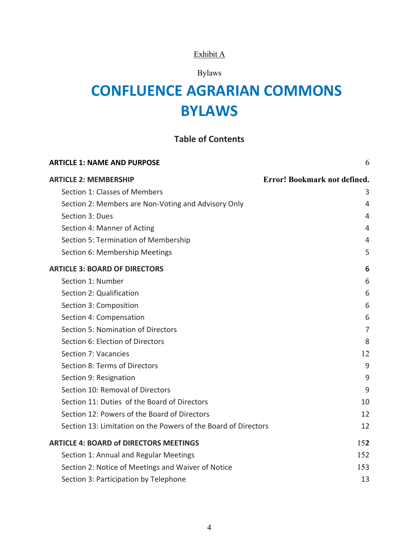#### Exhibit A

### Bylaws

# **CONFLUENCE AGRARIAN COMMONS BYLAWS**

#### **Table of Contents**

| <b>ARTICLE 1: NAME AND PURPOSE</b>                             | 6                            |
|----------------------------------------------------------------|------------------------------|
| <b>ARTICLE 2: MEMBERSHIP</b>                                   | Error! Bookmark not defined. |
| Section 1: Classes of Members                                  | 3                            |
| Section 2: Members are Non-Voting and Advisory Only            | 4                            |
| Section 3: Dues                                                | 4                            |
| Section 4: Manner of Acting                                    | 4                            |
| Section 5: Termination of Membership                           | 4                            |
| Section 6: Membership Meetings                                 | 5                            |
| <b>ARTICLE 3: BOARD OF DIRECTORS</b>                           | 6                            |
| Section 1: Number                                              | 6                            |
| Section 2: Qualification                                       | 6                            |
| Section 3: Composition                                         | 6                            |
| Section 4: Compensation                                        | 6                            |
| Section 5: Nomination of Directors                             | 7                            |
| Section 6: Election of Directors                               | 8                            |
| Section 7: Vacancies                                           | 12                           |
| Section 8: Terms of Directors                                  | 9                            |
| Section 9: Resignation                                         | 9                            |
| Section 10: Removal of Directors                               | 9                            |
| Section 11: Duties of the Board of Directors                   | 10                           |
| Section 12: Powers of the Board of Directors                   | 12                           |
| Section 13: Limitation on the Powers of the Board of Directors | 12                           |
| <b>ARTICLE 4: BOARD of DIRECTORS MEETINGS</b>                  | 152                          |
| Section 1: Annual and Regular Meetings                         | 152                          |
| Section 2: Notice of Meetings and Waiver of Notice             | 153                          |
| Section 3: Participation by Telephone                          | 13                           |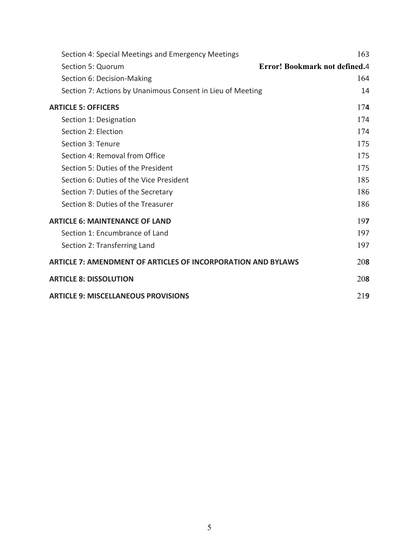| Section 4: Special Meetings and Emergency Meetings                  | 163                                  |  |
|---------------------------------------------------------------------|--------------------------------------|--|
| Section 5: Quorum                                                   | <b>Error! Bookmark not defined.4</b> |  |
| Section 6: Decision-Making                                          | 164                                  |  |
| Section 7: Actions by Unanimous Consent in Lieu of Meeting          | 14                                   |  |
| <b>ARTICLE 5: OFFICERS</b>                                          | 174                                  |  |
| Section 1: Designation                                              | 174                                  |  |
| Section 2: Election                                                 | 174                                  |  |
| Section 3: Tenure                                                   | 175                                  |  |
| Section 4: Removal from Office                                      | 175                                  |  |
| Section 5: Duties of the President                                  | 175                                  |  |
| Section 6: Duties of the Vice President                             | 185                                  |  |
| Section 7: Duties of the Secretary                                  | 186                                  |  |
| Section 8: Duties of the Treasurer                                  | 186                                  |  |
| <b>ARTICLE 6: MAINTENANCE OF LAND</b>                               |                                      |  |
| Section 1: Encumbrance of Land                                      | 197                                  |  |
| Section 2: Transferring Land                                        | 197                                  |  |
| <b>ARTICLE 7: AMENDMENT OF ARTICLES OF INCORPORATION AND BYLAWS</b> |                                      |  |
| <b>ARTICLE 8: DISSOLUTION</b>                                       |                                      |  |
| <b>ARTICLE 9: MISCELLANEOUS PROVISIONS</b>                          |                                      |  |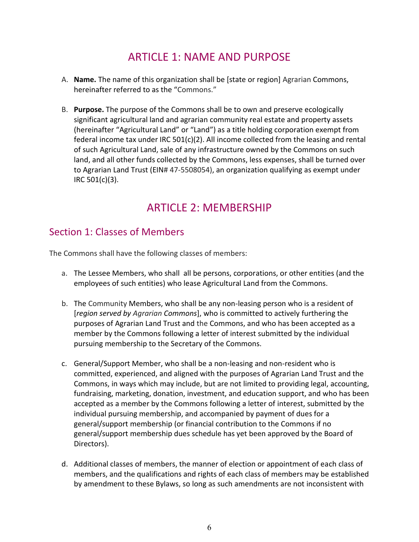## ARTICLE 1: NAME AND PURPOSE

- A. **Name.** The name of this organization shall be [state or region] Agrarian Commons, hereinafter referred to as the "Commons."
- B. **Purpose.** The purpose of the Commons shall be to own and preserve ecologically significant agricultural land and agrarian community real estate and property assets (hereinafter "Agricultural Land" or "Land") as a title holding corporation exempt from federal income tax under IRC 501(c)(2). All income collected from the leasing and rental of such Agricultural Land, sale of any infrastructure owned by the Commons on such land, and all other funds collected by the Commons, less expenses, shall be turned over to Agrarian Land Trust (EIN# 47-5508054), an organization qualifying as exempt under IRC 501(c)(3).

## ARTICLE 2: MEMBERSHIP

### Section 1: Classes of Members

The Commons shall have the following classes of members:

- a. The Lessee Members, who shall all be persons, corporations, or other entities (and the employees of such entities) who lease Agricultural Land from the Commons.
- b. The Community Members, who shall be any non-leasing person who is a resident of [*region served by Agrarian Commons*], who is committed to actively furthering the purposes of Agrarian Land Trust and the Commons, and who has been accepted as a member by the Commons following a letter of interest submitted by the individual pursuing membership to the Secretary of the Commons.
- c. General/Support Member, who shall be a non-leasing and non-resident who is committed, experienced, and aligned with the purposes of Agrarian Land Trust and the Commons, in ways which may include, but are not limited to providing legal, accounting, fundraising, marketing, donation, investment, and education support, and who has been accepted as a member by the Commons following a letter of interest, submitted by the individual pursuing membership, and accompanied by payment of dues for a general/support membership (or financial contribution to the Commons if no general/support membership dues schedule has yet been approved by the Board of Directors).
- d. Additional classes of members, the manner of election or appointment of each class of members, and the qualifications and rights of each class of members may be established by amendment to these Bylaws, so long as such amendments are not inconsistent with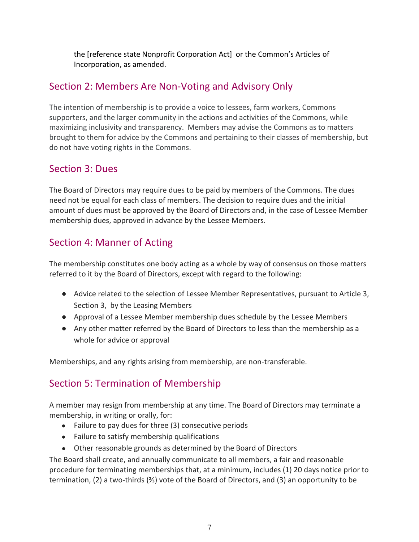the [reference state Nonprofit Corporation Act] or the Common's Articles of Incorporation, as amended.

### Section 2: Members Are Non-Voting and Advisory Only

The intention of membership is to provide a voice to lessees, farm workers, Commons supporters, and the larger community in the actions and activities of the Commons, while maximizing inclusivity and transparency. Members may advise the Commons as to matters brought to them for advice by the Commons and pertaining to their classes of membership, but do not have voting rights in the Commons.

### Section 3: Dues

The Board of Directors may require dues to be paid by members of the Commons. The dues need not be equal for each class of members. The decision to require dues and the initial amount of dues must be approved by the Board of Directors and, in the case of Lessee Member membership dues, approved in advance by the Lessee Members.

### Section 4: Manner of Acting

The membership constitutes one body acting as a whole by way of consensus on those matters referred to it by the Board of Directors, except with regard to the following:

- Advice related to the selection of Lessee Member Representatives, pursuant to Article 3, Section 3, by the Leasing Members
- Approval of a Lessee Member membership dues schedule by the Lessee Members
- Any other matter referred by the Board of Directors to less than the membership as a whole for advice or approval

Memberships, and any rights arising from membership, are non-transferable.

### Section 5: Termination of Membership

A member may resign from membership at any time. The Board of Directors may terminate a membership, in writing or orally, for:

- Failure to pay dues for three (3) consecutive periods
- Failure to satisfy membership qualifications
- Other reasonable grounds as determined by the Board of Directors

The Board shall create, and annually communicate to all members, a fair and reasonable procedure for terminating memberships that, at a minimum, includes (1) 20 days notice prior to termination, (2) a two-thirds (⅔) vote of the Board of Directors, and (3) an opportunity to be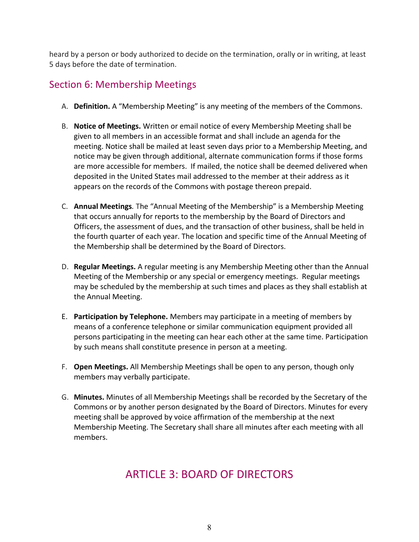heard by a person or body authorized to decide on the termination, orally or in writing, at least 5 days before the date of termination.

### Section 6: Membership Meetings

- A. **Definition.** A "Membership Meeting" is any meeting of the members of the Commons.
- B. **Notice of Meetings.** Written or email notice of every Membership Meeting shall be given to all members in an accessible format and shall include an agenda for the meeting. Notice shall be mailed at least seven days prior to a Membership Meeting, and notice may be given through additional, alternate communication forms if those forms are more accessible for members. If mailed, the notice shall be deemed delivered when deposited in the United States mail addressed to the member at their address as it appears on the records of the Commons with postage thereon prepaid.
- C. **Annual Meetings***.* The "Annual Meeting of the Membership" is a Membership Meeting that occurs annually for reports to the membership by the Board of Directors and Officers, the assessment of dues, and the transaction of other business, shall be held in the fourth quarter of each year. The location and specific time of the Annual Meeting of the Membership shall be determined by the Board of Directors.
- D. **Regular Meetings.** A regular meeting is any Membership Meeting other than the Annual Meeting of the Membership or any special or emergency meetings. Regular meetings may be scheduled by the membership at such times and places as they shall establish at the Annual Meeting.
- E. **Participation by Telephone.** Members may participate in a meeting of members by means of a conference telephone or similar communication equipment provided all persons participating in the meeting can hear each other at the same time. Participation by such means shall constitute presence in person at a meeting.
- F. **Open Meetings.** All Membership Meetings shall be open to any person, though only members may verbally participate.
- G. **Minutes.** Minutes of all Membership Meetings shall be recorded by the Secretary of the Commons or by another person designated by the Board of Directors. Minutes for every meeting shall be approved by voice affirmation of the membership at the next Membership Meeting. The Secretary shall share all minutes after each meeting with all members.

## ARTICLE 3: BOARD OF DIRECTORS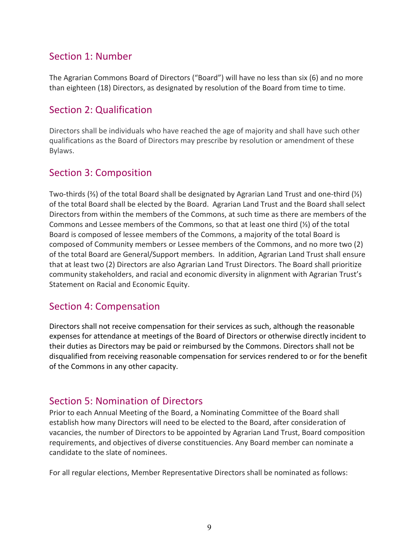### Section 1: Number

The Agrarian Commons Board of Directors ("Board") will have no less than six (6) and no more than eighteen (18) Directors, as designated by resolution of the Board from time to time.

#### Section 2: Qualification

Directors shall be individuals who have reached the age of majority and shall have such other qualifications as the Board of Directors may prescribe by resolution or amendment of these Bylaws.

#### Section 3: Composition

Two-thirds (⅔) of the total Board shall be designated by Agrarian Land Trust and one-third (⅓) of the total Board shall be elected by the Board. Agrarian Land Trust and the Board shall select Directors from within the members of the Commons, at such time as there are members of the Commons and Lessee members of the Commons, so that at least one third (⅓) of the total Board is composed of lessee members of the Commons, a majority of the total Board is composed of Community members or Lessee members of the Commons, and no more two (2) of the total Board are General/Support members. In addition, Agrarian Land Trust shall ensure that at least two (2) Directors are also Agrarian Land Trust Directors. The Board shall prioritize community stakeholders, and racial and economic diversity in alignment with Agrarian Trust's Statement on Racial and Economic Equity.

#### Section 4: Compensation

Directors shall not receive compensation for their services as such, although the reasonable expenses for attendance at meetings of the Board of Directors or otherwise directly incident to their duties as Directors may be paid or reimbursed by the Commons. Directors shall not be disqualified from receiving reasonable compensation for services rendered to or for the benefit of the Commons in any other capacity.

#### Section 5: Nomination of Directors

Prior to each Annual Meeting of the Board, a Nominating Committee of the Board shall establish how many Directors will need to be elected to the Board, after consideration of vacancies, the number of Directors to be appointed by Agrarian Land Trust, Board composition requirements, and objectives of diverse constituencies. Any Board member can nominate a candidate to the slate of nominees.

For all regular elections, Member Representative Directors shall be nominated as follows: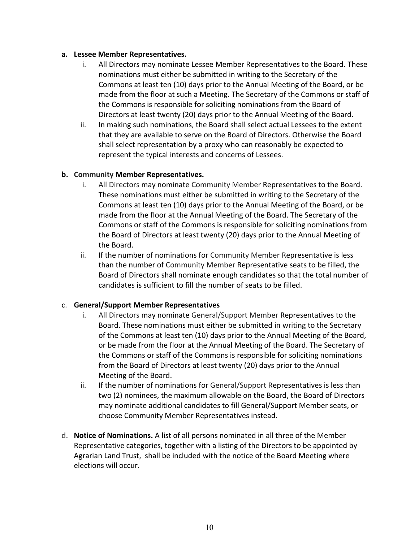#### **a. Lessee Member Representatives.**

- i. All Directors may nominate Lessee Member Representatives to the Board. These nominations must either be submitted in writing to the Secretary of the Commons at least ten (10) days prior to the Annual Meeting of the Board, or be made from the floor at such a Meeting. The Secretary of the Commons or staff of the Commons is responsible for soliciting nominations from the Board of Directors at least twenty (20) days prior to the Annual Meeting of the Board.
- ii. In making such nominations, the Board shall select actual Lessees to the extent that they are available to serve on the Board of Directors. Otherwise the Board shall select representation by a proxy who can reasonably be expected to represent the typical interests and concerns of Lessees.

#### **b. Community Member Representatives.**

- i. All Directors may nominate Community Member Representatives to the Board. These nominations must either be submitted in writing to the Secretary of the Commons at least ten (10) days prior to the Annual Meeting of the Board, or be made from the floor at the Annual Meeting of the Board. The Secretary of the Commons or staff of the Commons is responsible for soliciting nominations from the Board of Directors at least twenty (20) days prior to the Annual Meeting of the Board.
- ii. If the number of nominations for Community Member Representative is less than the number of Community Member Representative seats to be filled, the Board of Directors shall nominate enough candidates so that the total number of candidates is sufficient to fill the number of seats to be filled.

#### c. **General/Support Member Representatives**

- i. All Directors may nominate General/Support Member Representatives to the Board. These nominations must either be submitted in writing to the Secretary of the Commons at least ten (10) days prior to the Annual Meeting of the Board, or be made from the floor at the Annual Meeting of the Board. The Secretary of the Commons or staff of the Commons is responsible for soliciting nominations from the Board of Directors at least twenty (20) days prior to the Annual Meeting of the Board.
- ii. If the number of nominations for General/Support Representatives is less than two (2) nominees, the maximum allowable on the Board, the Board of Directors may nominate additional candidates to fill General/Support Member seats, or choose Community Member Representatives instead.
- d. **Notice of Nominations.** A list of all persons nominated in all three of the Member Representative categories, together with a listing of the Directors to be appointed by Agrarian Land Trust, shall be included with the notice of the Board Meeting where elections will occur.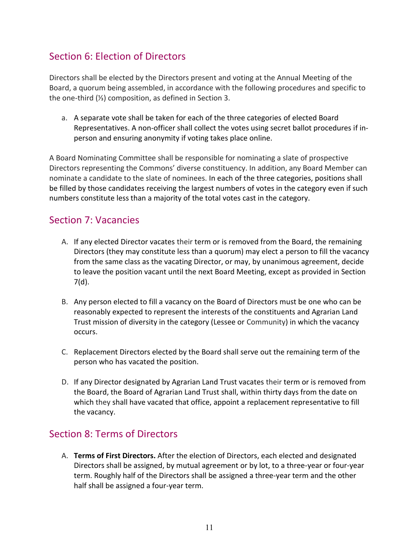### Section 6: Election of Directors

Directors shall be elected by the Directors present and voting at the Annual Meeting of the Board, a quorum being assembled, in accordance with the following procedures and specific to the one-third (⅓) composition, as defined in Section 3.

a. A separate vote shall be taken for each of the three categories of elected Board Representatives. A non-officer shall collect the votes using secret ballot procedures if inperson and ensuring anonymity if voting takes place online.

A Board Nominating Committee shall be responsible for nominating a slate of prospective Directors representing the Commons' diverse constituency. In addition, any Board Member can nominate a candidate to the slate of nominees. In each of the three categories, positions shall be filled by those candidates receiving the largest numbers of votes in the category even if such numbers constitute less than a majority of the total votes cast in the category.

#### Section 7: Vacancies

- A. If any elected Director vacates their term or is removed from the Board, the remaining Directors (they may constitute less than a quorum) may elect a person to fill the vacancy from the same class as the vacating Director, or may, by unanimous agreement, decide to leave the position vacant until the next Board Meeting, except as provided in Section 7(d).
- B. Any person elected to fill a vacancy on the Board of Directors must be one who can be reasonably expected to represent the interests of the constituents and Agrarian Land Trust mission of diversity in the category (Lessee or Community) in which the vacancy occurs.
- C. Replacement Directors elected by the Board shall serve out the remaining term of the person who has vacated the position.
- D. If any Director designated by Agrarian Land Trust vacates their term or is removed from the Board, the Board of Agrarian Land Trust shall, within thirty days from the date on which they shall have vacated that office, appoint a replacement representative to fill the vacancy.

### Section 8: Terms of Directors

A. **Terms of First Directors.** After the election of Directors, each elected and designated Directors shall be assigned, by mutual agreement or by lot, to a three-year or four-year term. Roughly half of the Directors shall be assigned a three-year term and the other half shall be assigned a four-year term.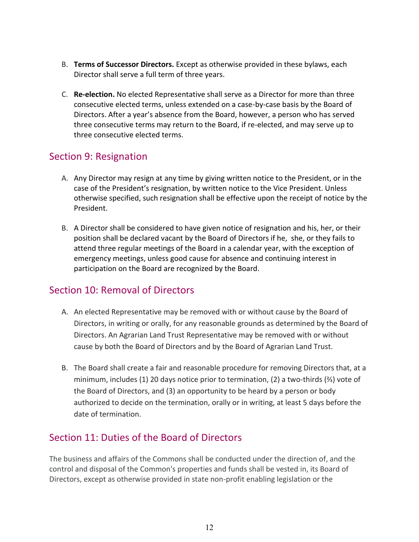- B. **Terms of Successor Directors.** Except as otherwise provided in these bylaws, each Director shall serve a full term of three years.
- C. **Re-election.** No elected Representative shall serve as a Director for more than three consecutive elected terms, unless extended on a case-by-case basis by the Board of Directors. After a year's absence from the Board, however, a person who has served three consecutive terms may return to the Board, if re-elected, and may serve up to three consecutive elected terms.

#### Section 9: Resignation

- A. Any Director may resign at any time by giving written notice to the President, or in the case of the President's resignation, by written notice to the Vice President. Unless otherwise specified, such resignation shall be effective upon the receipt of notice by the President.
- B. A Director shall be considered to have given notice of resignation and his, her, or their position shall be declared vacant by the Board of Directors if he, she, or they fails to attend three regular meetings of the Board in a calendar year, with the exception of emergency meetings, unless good cause for absence and continuing interest in participation on the Board are recognized by the Board.

### Section 10: Removal of Directors

- A. An elected Representative may be removed with or without cause by the Board of Directors, in writing or orally, for any reasonable grounds as determined by the Board of Directors. An Agrarian Land Trust Representative may be removed with or without cause by both the Board of Directors and by the Board of Agrarian Land Trust.
- B. The Board shall create a fair and reasonable procedure for removing Directors that, at a minimum, includes (1) 20 days notice prior to termination, (2) a two-thirds (⅔) vote of the Board of Directors, and (3) an opportunity to be heard by a person or body authorized to decide on the termination, orally or in writing, at least 5 days before the date of termination.

### Section 11: Duties of the Board of Directors

The business and affairs of the Commons shall be conducted under the direction of, and the control and disposal of the Common's properties and funds shall be vested in, its Board of Directors, except as otherwise provided in state non-profit enabling legislation or the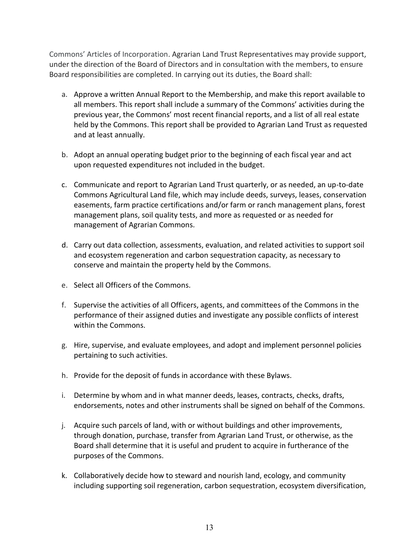Commons' Articles of Incorporation. Agrarian Land Trust Representatives may provide support, under the direction of the Board of Directors and in consultation with the members, to ensure Board responsibilities are completed. In carrying out its duties, the Board shall:

- a. Approve a written Annual Report to the Membership, and make this report available to all members. This report shall include a summary of the Commons' activities during the previous year, the Commons' most recent financial reports, and a list of all real estate held by the Commons. This report shall be provided to Agrarian Land Trust as requested and at least annually.
- b. Adopt an annual operating budget prior to the beginning of each fiscal year and act upon requested expenditures not included in the budget.
- c. Communicate and report to Agrarian Land Trust quarterly, or as needed, an up-to-date Commons Agricultural Land file, which may include deeds, surveys, leases, conservation easements, farm practice certifications and/or farm or ranch management plans, forest management plans, soil quality tests, and more as requested or as needed for management of Agrarian Commons.
- d. Carry out data collection, assessments, evaluation, and related activities to support soil and ecosystem regeneration and carbon sequestration capacity, as necessary to conserve and maintain the property held by the Commons.
- e. Select all Officers of the Commons.
- f. Supervise the activities of all Officers, agents, and committees of the Commons in the performance of their assigned duties and investigate any possible conflicts of interest within the Commons.
- g. Hire, supervise, and evaluate employees, and adopt and implement personnel policies pertaining to such activities.
- h. Provide for the deposit of funds in accordance with these Bylaws.
- i. Determine by whom and in what manner deeds, leases, contracts, checks, drafts, endorsements, notes and other instruments shall be signed on behalf of the Commons.
- j. Acquire such parcels of land, with or without buildings and other improvements, through donation, purchase, transfer from Agrarian Land Trust, or otherwise, as the Board shall determine that it is useful and prudent to acquire in furtherance of the purposes of the Commons.
- k. Collaboratively decide how to steward and nourish land, ecology, and community including supporting soil regeneration, carbon sequestration, ecosystem diversification,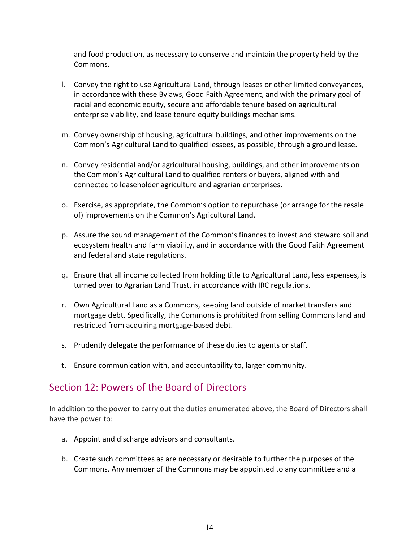and food production, as necessary to conserve and maintain the property held by the Commons.

- l. Convey the right to use Agricultural Land, through leases or other limited conveyances, in accordance with these Bylaws, Good Faith Agreement, and with the primary goal of racial and economic equity, secure and affordable tenure based on agricultural enterprise viability, and lease tenure equity buildings mechanisms.
- m. Convey ownership of housing, agricultural buildings, and other improvements on the Common's Agricultural Land to qualified lessees, as possible, through a ground lease.
- n. Convey residential and/or agricultural housing, buildings, and other improvements on the Common's Agricultural Land to qualified renters or buyers, aligned with and connected to leaseholder agriculture and agrarian enterprises.
- o. Exercise, as appropriate, the Common's option to repurchase (or arrange for the resale of) improvements on the Common's Agricultural Land.
- p. Assure the sound management of the Common's finances to invest and steward soil and ecosystem health and farm viability, and in accordance with the Good Faith Agreement and federal and state regulations.
- q. Ensure that all income collected from holding title to Agricultural Land, less expenses, is turned over to Agrarian Land Trust, in accordance with IRC regulations.
- r. Own Agricultural Land as a Commons, keeping land outside of market transfers and mortgage debt. Specifically, the Commons is prohibited from selling Commons land and restricted from acquiring mortgage-based debt.
- s. Prudently delegate the performance of these duties to agents or staff.
- t. Ensure communication with, and accountability to, larger community.

### Section 12: Powers of the Board of Directors

In addition to the power to carry out the duties enumerated above, the Board of Directors shall have the power to:

- a. Appoint and discharge advisors and consultants.
- b. Create such committees as are necessary or desirable to further the purposes of the Commons. Any member of the Commons may be appointed to any committee and a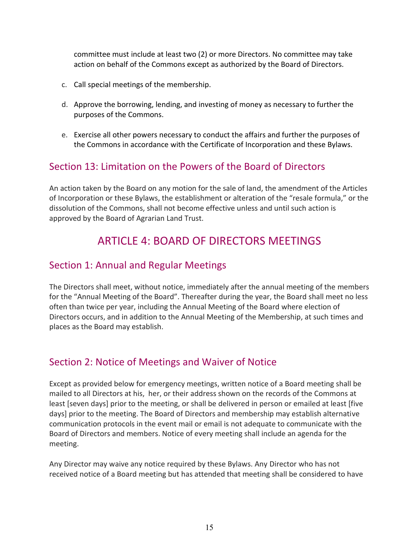committee must include at least two (2) or more Directors. No committee may take action on behalf of the Commons except as authorized by the Board of Directors.

- c. Call special meetings of the membership.
- d. Approve the borrowing, lending, and investing of money as necessary to further the purposes of the Commons.
- e. Exercise all other powers necessary to conduct the affairs and further the purposes of the Commons in accordance with the Certificate of Incorporation and these Bylaws.

#### Section 13: Limitation on the Powers of the Board of Directors

An action taken by the Board on any motion for the sale of land, the amendment of the Articles of Incorporation or these Bylaws, the establishment or alteration of the "resale formula," or the dissolution of the Commons, shall not become effective unless and until such action is approved by the Board of Agrarian Land Trust.

## ARTICLE 4: BOARD OF DIRECTORS MEETINGS

#### Section 1: Annual and Regular Meetings

The Directors shall meet, without notice, immediately after the annual meeting of the members for the "Annual Meeting of the Board". Thereafter during the year, the Board shall meet no less often than twice per year, including the Annual Meeting of the Board where election of Directors occurs, and in addition to the Annual Meeting of the Membership, at such times and places as the Board may establish.

### Section 2: Notice of Meetings and Waiver of Notice

Except as provided below for emergency meetings, written notice of a Board meeting shall be mailed to all Directors at his, her, or their address shown on the records of the Commons at least [seven days] prior to the meeting, or shall be delivered in person or emailed at least [five days] prior to the meeting. The Board of Directors and membership may establish alternative communication protocols in the event mail or email is not adequate to communicate with the Board of Directors and members. Notice of every meeting shall include an agenda for the meeting.

Any Director may waive any notice required by these Bylaws. Any Director who has not received notice of a Board meeting but has attended that meeting shall be considered to have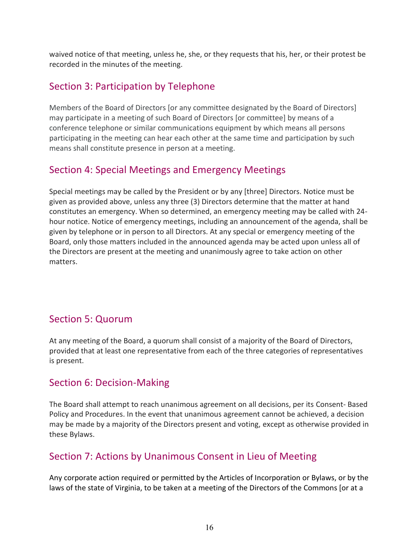waived notice of that meeting, unless he, she, or they requests that his, her, or their protest be recorded in the minutes of the meeting.

### Section 3: Participation by Telephone

Members of the Board of Directors [or any committee designated by the Board of Directors] may participate in a meeting of such Board of Directors [or committee] by means of a conference telephone or similar communications equipment by which means all persons participating in the meeting can hear each other at the same time and participation by such means shall constitute presence in person at a meeting.

### Section 4: Special Meetings and Emergency Meetings

Special meetings may be called by the President or by any [three] Directors. Notice must be given as provided above, unless any three (3) Directors determine that the matter at hand constitutes an emergency. When so determined, an emergency meeting may be called with 24 hour notice. Notice of emergency meetings, including an announcement of the agenda, shall be given by telephone or in person to all Directors. At any special or emergency meeting of the Board, only those matters included in the announced agenda may be acted upon unless all of the Directors are present at the meeting and unanimously agree to take action on other matters.

### Section 5: Quorum

At any meeting of the Board, a quorum shall consist of a majority of the Board of Directors, provided that at least one representative from each of the three categories of representatives is present.

### Section 6: Decision-Making

The Board shall attempt to reach unanimous agreement on all decisions, per its Consent- Based Policy and Procedures. In the event that unanimous agreement cannot be achieved, a decision may be made by a majority of the Directors present and voting, except as otherwise provided in these Bylaws.

### Section 7: Actions by Unanimous Consent in Lieu of Meeting

Any corporate action required or permitted by the Articles of Incorporation or Bylaws, or by the laws of the state of Virginia, to be taken at a meeting of the Directors of the Commons [or at a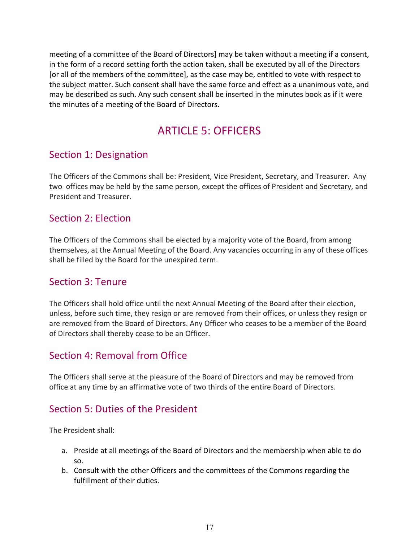meeting of a committee of the Board of Directors] may be taken without a meeting if a consent, in the form of a record setting forth the action taken, shall be executed by all of the Directors [or all of the members of the committee], as the case may be, entitled to vote with respect to the subject matter. Such consent shall have the same force and effect as a unanimous vote, and may be described as such. Any such consent shall be inserted in the minutes book as if it were the minutes of a meeting of the Board of Directors.

## ARTICLE 5: OFFICERS

### Section 1: Designation

The Officers of the Commons shall be: President, Vice President, Secretary, and Treasurer. Any two offices may be held by the same person, except the offices of President and Secretary, and President and Treasurer.

#### Section 2: Election

The Officers of the Commons shall be elected by a majority vote of the Board, from among themselves, at the Annual Meeting of the Board. Any vacancies occurring in any of these offices shall be filled by the Board for the unexpired term.

### Section 3: Tenure

The Officers shall hold office until the next Annual Meeting of the Board after their election, unless, before such time, they resign or are removed from their offices, or unless they resign or are removed from the Board of Directors. Any Officer who ceases to be a member of the Board of Directors shall thereby cease to be an Officer.

### Section 4: Removal from Office

The Officers shall serve at the pleasure of the Board of Directors and may be removed from office at any time by an affirmative vote of two thirds of the entire Board of Directors.

### Section 5: Duties of the President

The President shall:

- a. Preside at all meetings of the Board of Directors and the membership when able to do so.
- b. Consult with the other Officers and the committees of the Commons regarding the fulfillment of their duties.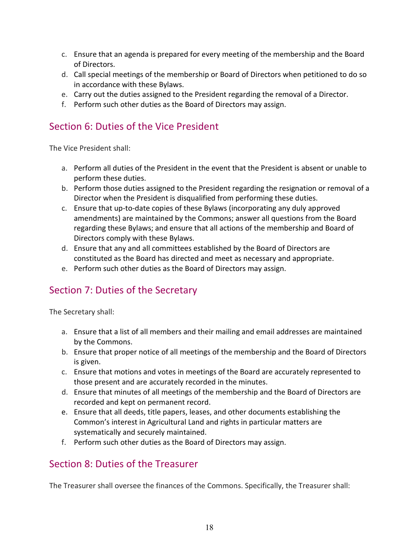- c. Ensure that an agenda is prepared for every meeting of the membership and the Board of Directors.
- d. Call special meetings of the membership or Board of Directors when petitioned to do so in accordance with these Bylaws.
- e. Carry out the duties assigned to the President regarding the removal of a Director.
- f. Perform such other duties as the Board of Directors may assign.

#### Section 6: Duties of the Vice President

The Vice President shall:

- a. Perform all duties of the President in the event that the President is absent or unable to perform these duties.
- b. Perform those duties assigned to the President regarding the resignation or removal of a Director when the President is disqualified from performing these duties.
- c. Ensure that up-to-date copies of these Bylaws (incorporating any duly approved amendments) are maintained by the Commons; answer all questions from the Board regarding these Bylaws; and ensure that all actions of the membership and Board of Directors comply with these Bylaws.
- d. Ensure that any and all committees established by the Board of Directors are constituted as the Board has directed and meet as necessary and appropriate.
- e. Perform such other duties as the Board of Directors may assign.

## Section 7: Duties of the Secretary

The Secretary shall:

- a. Ensure that a list of all members and their mailing and email addresses are maintained by the Commons.
- b. Ensure that proper notice of all meetings of the membership and the Board of Directors is given.
- c. Ensure that motions and votes in meetings of the Board are accurately represented to those present and are accurately recorded in the minutes.
- d. Ensure that minutes of all meetings of the membership and the Board of Directors are recorded and kept on permanent record.
- e. Ensure that all deeds, title papers, leases, and other documents establishing the Common's interest in Agricultural Land and rights in particular matters are systematically and securely maintained.
- f. Perform such other duties as the Board of Directors may assign.

### Section 8: Duties of the Treasurer

The Treasurer shall oversee the finances of the Commons. Specifically, the Treasurer shall: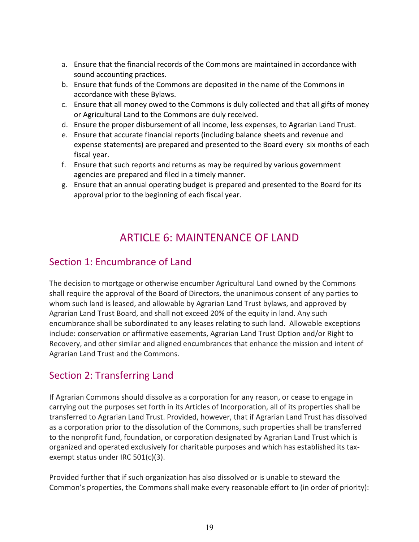- a. Ensure that the financial records of the Commons are maintained in accordance with sound accounting practices.
- b. Ensure that funds of the Commons are deposited in the name of the Commons in accordance with these Bylaws.
- c. Ensure that all money owed to the Commons is duly collected and that all gifts of money or Agricultural Land to the Commons are duly received.
- d. Ensure the proper disbursement of all income, less expenses, to Agrarian Land Trust.
- e. Ensure that accurate financial reports (including balance sheets and revenue and expense statements) are prepared and presented to the Board every six months of each fiscal year.
- f. Ensure that such reports and returns as may be required by various government agencies are prepared and filed in a timely manner.
- g. Ensure that an annual operating budget is prepared and presented to the Board for its approval prior to the beginning of each fiscal year.

## ARTICLE 6: MAINTENANCE OF LAND

### Section 1: Encumbrance of Land

The decision to mortgage or otherwise encumber Agricultural Land owned by the Commons shall require the approval of the Board of Directors, the unanimous consent of any parties to whom such land is leased, and allowable by Agrarian Land Trust bylaws, and approved by Agrarian Land Trust Board, and shall not exceed 20% of the equity in land. Any such encumbrance shall be subordinated to any leases relating to such land. Allowable exceptions include: conservation or affirmative easements, Agrarian Land Trust Option and/or Right to Recovery, and other similar and aligned encumbrances that enhance the mission and intent of Agrarian Land Trust and the Commons.

## Section 2: Transferring Land

If Agrarian Commons should dissolve as a corporation for any reason, or cease to engage in carrying out the purposes set forth in its Articles of Incorporation, all of its properties shall be transferred to Agrarian Land Trust. Provided, however, that if Agrarian Land Trust has dissolved as a corporation prior to the dissolution of the Commons, such properties shall be transferred to the nonprofit fund, foundation, or corporation designated by Agrarian Land Trust which is organized and operated exclusively for charitable purposes and which has established its taxexempt status under IRC 501(c)(3).

Provided further that if such organization has also dissolved or is unable to steward the Common's properties, the Commons shall make every reasonable effort to (in order of priority):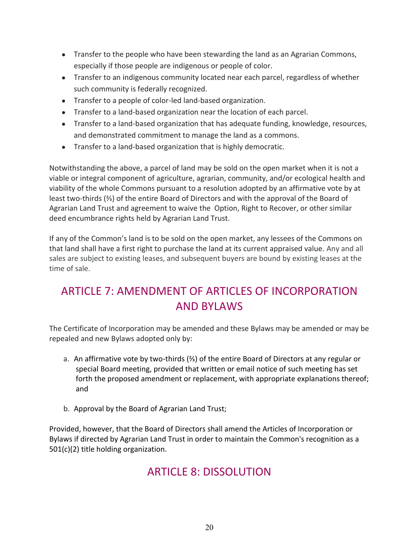- Transfer to the people who have been stewarding the land as an Agrarian Commons, especially if those people are indigenous or people of color.
- Transfer to an indigenous community located near each parcel, regardless of whether such community is federally recognized.
- Transfer to a people of color-led land-based organization.
- Transfer to a land-based organization near the location of each parcel.
- Transfer to a land-based organization that has adequate funding, knowledge, resources, and demonstrated commitment to manage the land as a commons.
- Transfer to a land-based organization that is highly democratic.

Notwithstanding the above, a parcel of land may be sold on the open market when it is not a viable or integral component of agriculture, agrarian, community, and/or ecological health and viability of the whole Commons pursuant to a resolution adopted by an affirmative vote by at least two-thirds (⅔) of the entire Board of Directors and with the approval of the Board of Agrarian Land Trust and agreement to waive the Option, Right to Recover, or other similar deed encumbrance rights held by Agrarian Land Trust.

If any of the Common's land is to be sold on the open market, any lessees of the Commons on that land shall have a first right to purchase the land at its current appraised value. Any and all sales are subject to existing leases, and subsequent buyers are bound by existing leases at the time of sale.

## ARTICLE 7: AMENDMENT OF ARTICLES OF INCORPORATION AND BYLAWS

The Certificate of Incorporation may be amended and these Bylaws may be amended or may be repealed and new Bylaws adopted only by:

- a. An affirmative vote by two-thirds (⅔) of the entire Board of Directors at any regular or special Board meeting, provided that written or email notice of such meeting has set forth the proposed amendment or replacement, with appropriate explanations thereof; and
- b. Approval by the Board of Agrarian Land Trust;

Provided, however, that the Board of Directors shall amend the Articles of Incorporation or Bylaws if directed by Agrarian Land Trust in order to maintain the Common's recognition as a 501(c)(2) title holding organization.

## ARTICLE 8: DISSOLUTION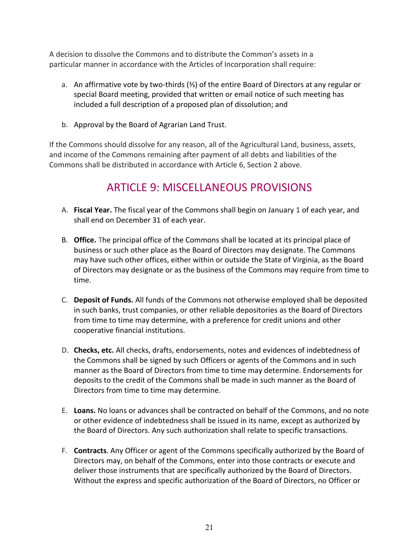A decision to dissolve the Commons and to distribute the Common's assets in a particular manner in accordance with the Articles of Incorporation shall require:

- a. An affirmative vote by two-thirds (⅔) of the entire Board of Directors at any regular or special Board meeting, provided that written or email notice of such meeting has included a full description of a proposed plan of dissolution; and
- b. Approval by the Board of Agrarian Land Trust.

If the Commons should dissolve for any reason, all of the Agricultural Land, business, assets, and income of the Commons remaining after payment of all debts and liabilities of the Commons shall be distributed in accordance with Article 6, Section 2 above.

## ARTICLE 9: MISCELLANEOUS PROVISIONS

- A. **Fiscal Year.** The fiscal year of the Commons shall begin on January 1 of each year, and shall end on December 31 of each year.
- B. **Office.** The principal office of the Commons shall be located at its principal place of business or such other place as the Board of Directors may designate. The Commons may have such other offices, either within or outside the State of Virginia, as the Board of Directors may designate or as the business of the Commons may require from time to time.
- C. **Deposit of Funds.** All funds of the Commons not otherwise employed shall be deposited in such banks, trust companies, or other reliable depositories as the Board of Directors from time to time may determine, with a preference for credit unions and other cooperative financial institutions.
- D. **Checks, etc.** All checks, drafts, endorsements, notes and evidences of indebtedness of the Commons shall be signed by such Officers or agents of the Commons and in such manner as the Board of Directors from time to time may determine. Endorsements for deposits to the credit of the Commons shall be made in such manner as the Board of Directors from time to time may determine.
- E. **Loans.** No loans or advances shall be contracted on behalf of the Commons, and no note or other evidence of indebtedness shall be issued in its name, except as authorized by the Board of Directors. Any such authorization shall relate to specific transactions.
- F. **Contracts**. Any Officer or agent of the Commons specifically authorized by the Board of Directors may, on behalf of the Commons, enter into those contracts or execute and deliver those instruments that are specifically authorized by the Board of Directors. Without the express and specific authorization of the Board of Directors, no Officer or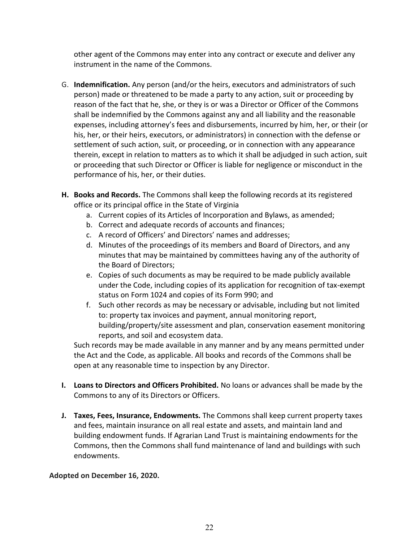other agent of the Commons may enter into any contract or execute and deliver any instrument in the name of the Commons.

- G. **Indemnification.** Any person (and/or the heirs, executors and administrators of such person) made or threatened to be made a party to any action, suit or proceeding by reason of the fact that he, she, or they is or was a Director or Officer of the Commons shall be indemnified by the Commons against any and all liability and the reasonable expenses, including attorney's fees and disbursements, incurred by him, her, or their (or his, her, or their heirs, executors, or administrators) in connection with the defense or settlement of such action, suit, or proceeding, or in connection with any appearance therein, except in relation to matters as to which it shall be adjudged in such action, suit or proceeding that such Director or Officer is liable for negligence or misconduct in the performance of his, her, or their duties.
- **H. Books and Records.** The Commons shall keep the following records at its registered office or its principal office in the State of Virginia
	- a. Current copies of its Articles of Incorporation and Bylaws, as amended;
	- b. Correct and adequate records of accounts and finances;
	- c. A record of Officers' and Directors' names and addresses;
	- d. Minutes of the proceedings of its members and Board of Directors, and any minutes that may be maintained by committees having any of the authority of the Board of Directors;
	- e. Copies of such documents as may be required to be made publicly available under the Code, including copies of its application for recognition of tax-exempt status on Form 1024 and copies of its Form 990; and
	- f. Such other records as may be necessary or advisable, including but not limited to: property tax invoices and payment, annual monitoring report, building/property/site assessment and plan, conservation easement monitoring reports, and soil and ecosystem data.

Such records may be made available in any manner and by any means permitted under the Act and the Code, as applicable. All books and records of the Commons shall be open at any reasonable time to inspection by any Director.

- **I. Loans to Directors and Officers Prohibited.** No loans or advances shall be made by the Commons to any of its Directors or Officers.
- **J. Taxes, Fees, Insurance, Endowments.** The Commons shall keep current property taxes and fees, maintain insurance on all real estate and assets, and maintain land and building endowment funds. If Agrarian Land Trust is maintaining endowments for the Commons, then the Commons shall fund maintenance of land and buildings with such endowments.

#### **Adopted on December 16, 2020.**